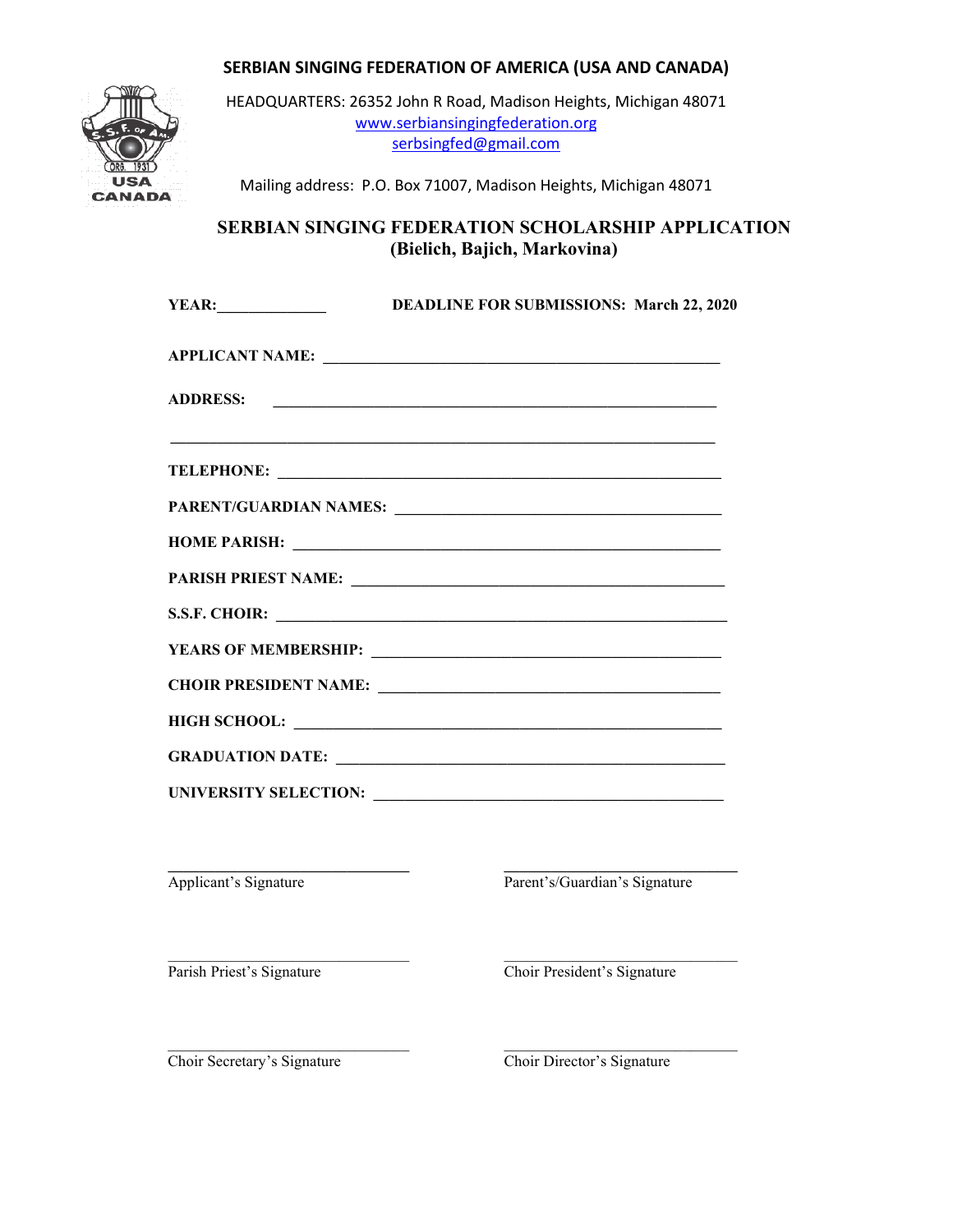

HEADQUARTERS: 26352 John R Road, Madison Heights, Michigan 48071 [www.serbiansingingfederation.org](http://www.serbiansingingfederation.org/) [serbsingfed@gmail.com](mailto:serbsingfed@gmail.com)

Mailing address: P.O. Box 71007, Madison Heights, Michigan 48071

### **SERBIAN SINGING FEDERATION SCHOLARSHIP APPLICATION (Bielich, Bajich, Markovina)**

| <b>YEAR:</b>          | <b>DEADLINE FOR SUBMISSIONS: March 22, 2020</b>               |  |
|-----------------------|---------------------------------------------------------------|--|
|                       |                                                               |  |
| <b>ADDRESS:</b>       | <u> 2000 - Andrea Andrewski, amerikansk politik (d. 1982)</u> |  |
|                       |                                                               |  |
|                       |                                                               |  |
|                       | HOME PARISH: NATIONAL PARISH:                                 |  |
|                       |                                                               |  |
|                       |                                                               |  |
|                       |                                                               |  |
|                       |                                                               |  |
|                       |                                                               |  |
|                       |                                                               |  |
|                       |                                                               |  |
|                       |                                                               |  |
| Applicant's Signature | Parent's/Guardian's Signature                                 |  |
|                       |                                                               |  |

Parish Priest's Signature Choir President's Signature

\_\_\_\_\_\_\_\_\_\_\_\_\_\_\_\_\_\_\_\_\_\_\_\_\_\_\_\_\_\_\_ \_\_\_\_\_\_\_\_\_\_\_\_\_\_\_\_\_\_\_\_\_\_\_\_\_\_\_\_\_\_ Choir Secretary's Signature Choir Director's Signature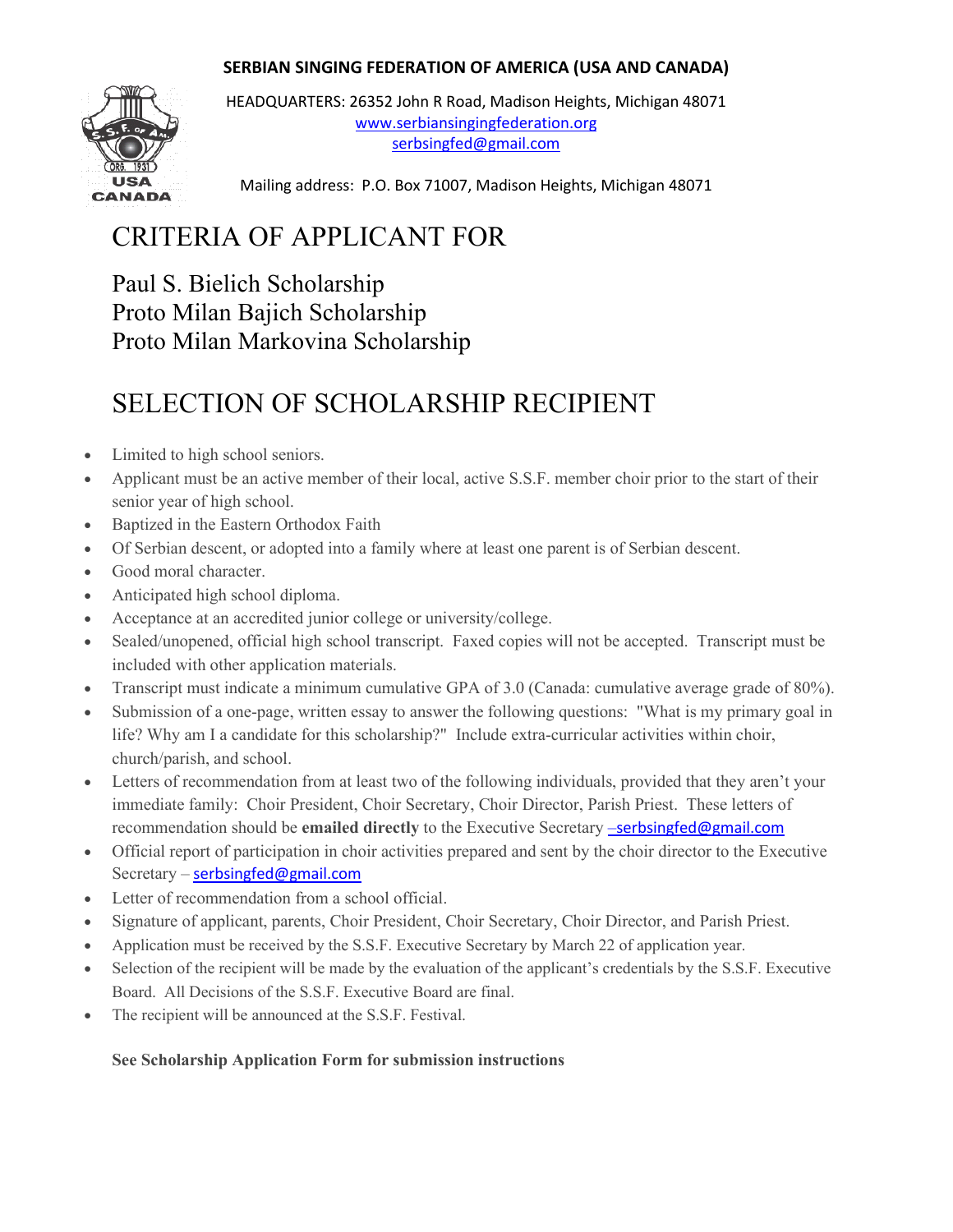

HEADQUARTERS: 26352 John R Road, Madison Heights, Michigan 48071 [www.serbiansingingfederation.org](http://www.serbiansingingfederation.org/) [serbsingfed@gmail.com](mailto:serbsingfed@gmail.com)

Mailing address: P.O. Box 71007, Madison Heights, Michigan 48071

## CRITERIA OF APPLICANT FOR

Paul S. Bielich Scholarship Proto Milan Bajich Scholarship Proto Milan Markovina Scholarship

### SELECTION OF SCHOLARSHIP RECIPIENT

- Limited to high school seniors.
- Applicant must be an active member of their local, active S.S.F. member choir prior to the start of their senior year of high school.
- Baptized in the Eastern Orthodox Faith
- Of Serbian descent, or adopted into a family where at least one parent is of Serbian descent.
- Good moral character.
- Anticipated high school diploma.
- Acceptance at an accredited junior college or university/college.
- Sealed/unopened, official high school transcript. Faxed copies will not be accepted. Transcript must be included with other application materials.
- Transcript must indicate a minimum cumulative GPA of 3.0 (Canada: cumulative average grade of 80%).
- Submission of a one-page, written essay to answer the following questions: "What is my primary goal in life? Why am I a candidate for this scholarship?" Include extra-curricular activities within choir, church/parish, and school.
- Letters of recommendation from at least two of the following individuals, provided that they aren't your immediate family: Choir President, Choir Secretary, Choir Director, Parish Priest. These letters of recommendation should be **emailed directly** to the Executive Secretary –[serbsingfed@gmail.com](mailto:%E2%80%93serbsingfed@gmail.com)
- Official report of participation in choir activities prepared and sent by the choir director to the Executive Secretary – [serbsingfed@gmail.com](mailto:serbsingfed@gmail.com)
- Letter of recommendation from a school official.
- Signature of applicant, parents, Choir President, Choir Secretary, Choir Director, and Parish Priest.
- Application must be received by the S.S.F. Executive Secretary by March 22 of application year.
- Selection of the recipient will be made by the evaluation of the applicant's credentials by the S.S.F. Executive Board. All Decisions of the S.S.F. Executive Board are final.
- The recipient will be announced at the S.S.F. Festival.

### **See Scholarship Application Form for submission instructions**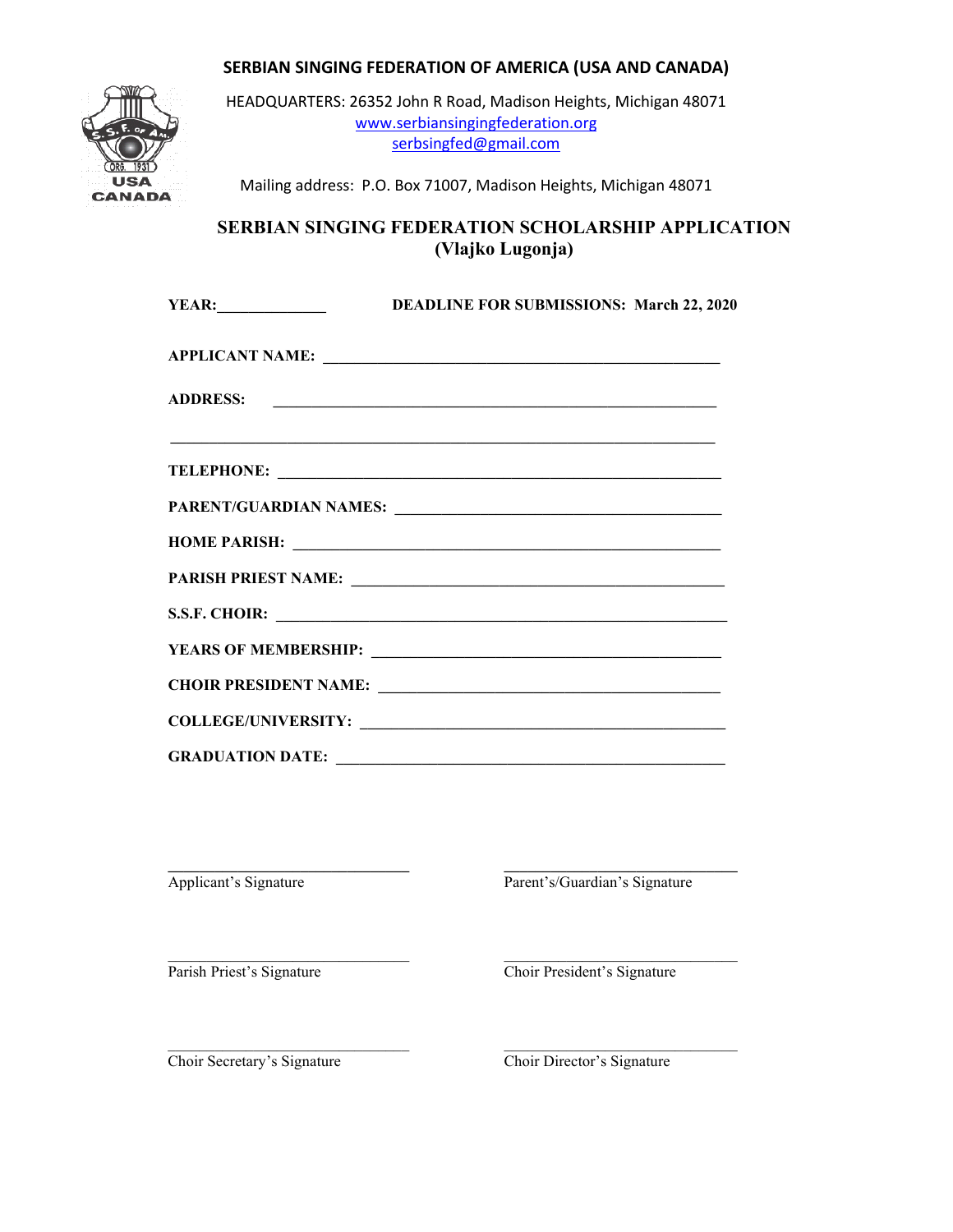

HEADQUARTERS: 26352 John R Road, Madison Heights, Michigan 48071 [www.serbiansingingfederation.org](http://www.serbiansingingfederation.org/) [serbsingfed@gmail.com](mailto:serbsingfed@gmail.com)

Mailing address: P.O. Box 71007, Madison Heights, Michigan 48071

### **SERBIAN SINGING FEDERATION SCHOLARSHIP APPLICATION (Vlajko Lugonja)**

|                         | YEAR: DEADLINE FOR SUBMISSIONS: March 22, 2020 |  |
|-------------------------|------------------------------------------------|--|
|                         | APPLICANT NAME:                                |  |
|                         | ADDRESS:                                       |  |
|                         |                                                |  |
|                         |                                                |  |
|                         |                                                |  |
|                         |                                                |  |
|                         |                                                |  |
|                         |                                                |  |
|                         |                                                |  |
|                         |                                                |  |
| <b>GRADUATION DATE:</b> |                                                |  |

**\_\_\_\_\_\_\_\_\_\_\_\_\_\_\_\_\_\_\_\_\_\_\_\_\_\_\_\_\_\_\_ \_\_\_\_\_\_\_\_\_\_\_\_\_\_\_\_\_\_\_\_\_\_\_\_\_\_\_\_\_\_** Applicant's Signature Parent's/Guardian's Signature

 $\mathcal{L}_\text{max}$  , and the set of the set of the set of the set of the set of the set of the set of the set of the set of

Parish Priest's Signature Choir President's Signature

\_\_\_\_\_\_\_\_\_\_\_\_\_\_\_\_\_\_\_\_\_\_\_\_\_\_\_\_\_\_\_ \_\_\_\_\_\_\_\_\_\_\_\_\_\_\_\_\_\_\_\_\_\_\_\_\_\_\_\_\_\_ Choir Secretary's Signature Choir Director's Signature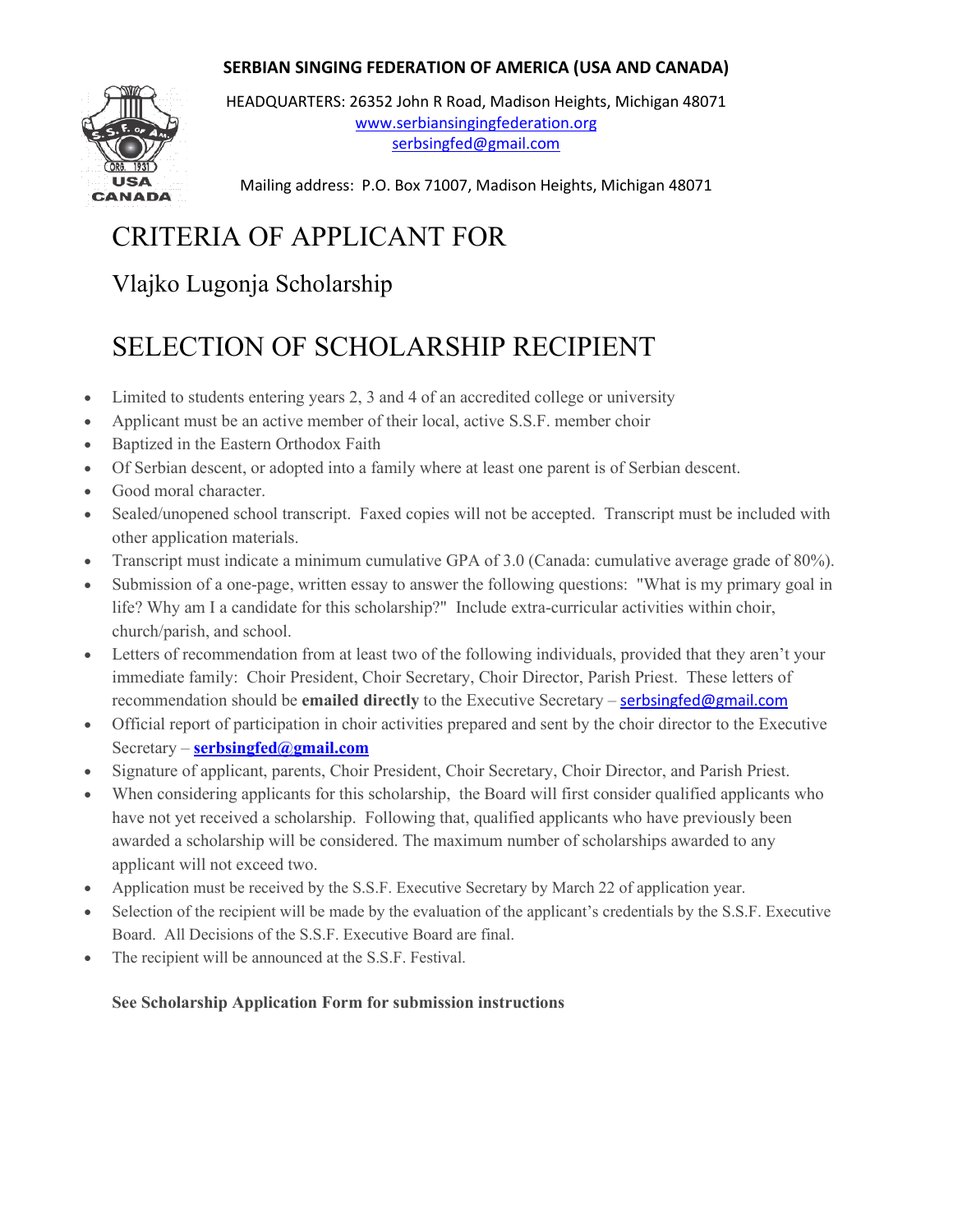

HEADQUARTERS: 26352 John R Road, Madison Heights, Michigan 48071 [www.serbiansingingfederation.org](http://www.serbiansingingfederation.org/) [serbsingfed@gmail.com](mailto:serbsingfed@gmail.com)

Mailing address: P.O. Box 71007, Madison Heights, Michigan 48071

# CRITERIA OF APPLICANT FOR

Vlajko Lugonja Scholarship

## SELECTION OF SCHOLARSHIP RECIPIENT

- Limited to students entering years 2, 3 and 4 of an accredited college or university
- Applicant must be an active member of their local, active S.S.F. member choir
- Baptized in the Eastern Orthodox Faith
- Of Serbian descent, or adopted into a family where at least one parent is of Serbian descent.
- Good moral character.
- Sealed/unopened school transcript. Faxed copies will not be accepted. Transcript must be included with other application materials.
- Transcript must indicate a minimum cumulative GPA of 3.0 (Canada: cumulative average grade of 80%).
- Submission of a one-page, written essay to answer the following questions: "What is my primary goal in life? Why am I a candidate for this scholarship?" Include extra-curricular activities within choir, church/parish, and school.
- Letters of recommendation from at least two of the following individuals, provided that they aren't your immediate family: Choir President, Choir Secretary, Choir Director, Parish Priest. These letters of recommendation should be **emailed directly** to the Executive Secretary – [serbsingfed@gmail.com](mailto:serbsingfed@gmail.com)
- Official report of participation in choir activities prepared and sent by the choir director to the Executive Secretary – **[serbsingfed@gmail.com](mailto:serbsingfed@gmail.com)**
- Signature of applicant, parents, Choir President, Choir Secretary, Choir Director, and Parish Priest.
- When considering applicants for this scholarship, the Board will first consider qualified applicants who have not yet received a scholarship. Following that, qualified applicants who have previously been awarded a scholarship will be considered. The maximum number of scholarships awarded to any applicant will not exceed two.
- Application must be received by the S.S.F. Executive Secretary by March 22 of application year.
- Selection of the recipient will be made by the evaluation of the applicant's credentials by the S.S.F. Executive Board. All Decisions of the S.S.F. Executive Board are final.
- The recipient will be announced at the S.S.F. Festival.

#### **See Scholarship Application Form for submission instructions**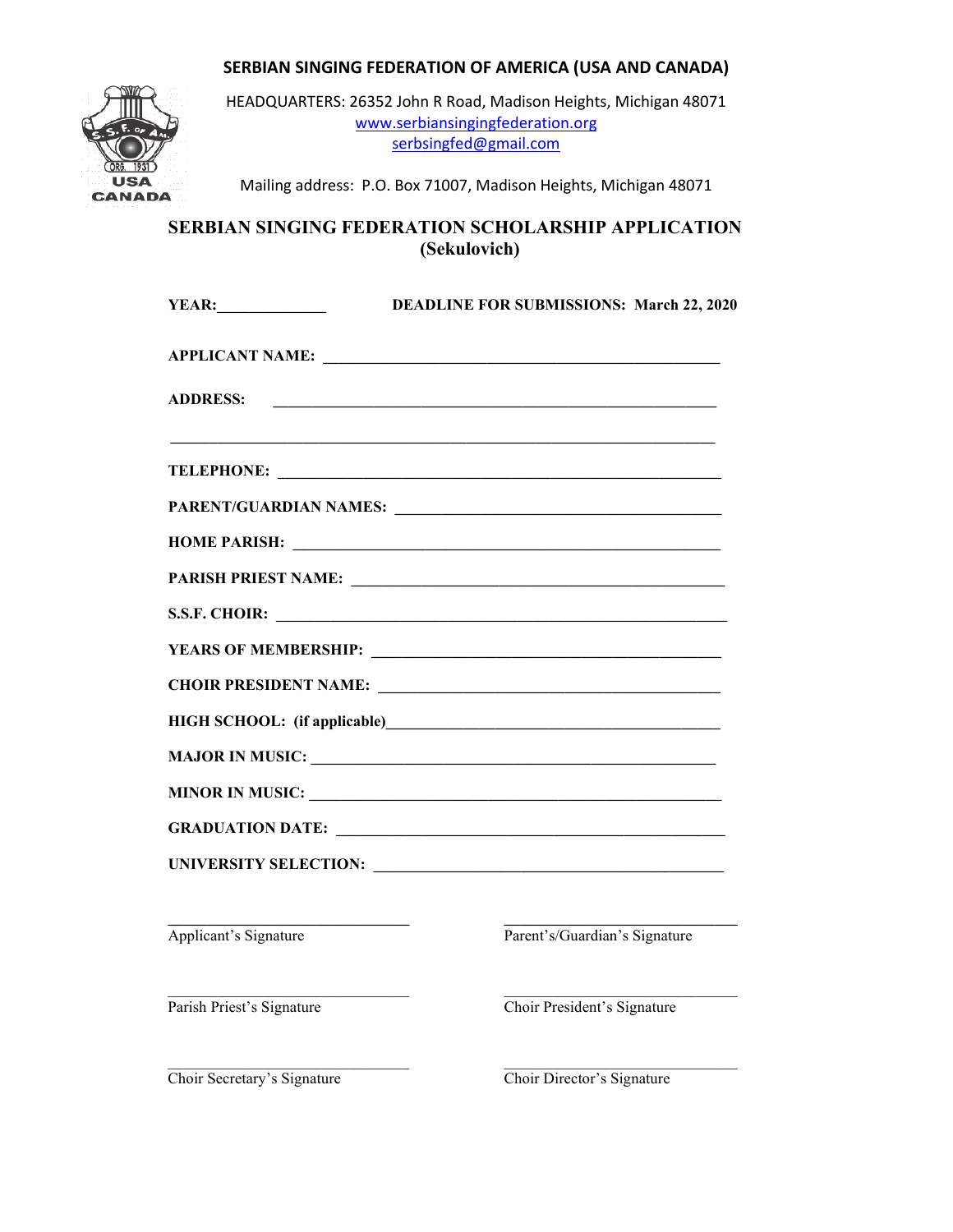

HEADQUARTERS: 26352 John R Road, Madison Heights, Michigan 48071 [www.serbiansingingfederation.org](http://www.serbiansingingfederation.org/) [serbsingfed@gmail.com](mailto:serbsingfed@gmail.com)

Mailing address: P.O. Box 71007, Madison Heights, Michigan 48071

### **SERBIAN SINGING FEDERATION SCHOLARSHIP APPLICATION (Sekulovich)**

| <b>YEAR:</b>              | <b>DEADLINE FOR SUBMISSIONS: March 22, 2020</b>                                                                                                                                                                                |
|---------------------------|--------------------------------------------------------------------------------------------------------------------------------------------------------------------------------------------------------------------------------|
|                           | APPLICANT NAME:                                                                                                                                                                                                                |
| <b>ADDRESS:</b>           |                                                                                                                                                                                                                                |
|                           |                                                                                                                                                                                                                                |
|                           |                                                                                                                                                                                                                                |
|                           | HOME PARISH: New York Changes and Security Changes and Security Changes and Security Changes and Security Changes and Security Changes and Security Changes and Security Changes and Security Changes and Security Changes and |
|                           |                                                                                                                                                                                                                                |
|                           | S.S.F. CHOIR:                                                                                                                                                                                                                  |
|                           |                                                                                                                                                                                                                                |
|                           |                                                                                                                                                                                                                                |
|                           |                                                                                                                                                                                                                                |
|                           |                                                                                                                                                                                                                                |
|                           | MINOR IN MUSIC:                                                                                                                                                                                                                |
|                           |                                                                                                                                                                                                                                |
|                           |                                                                                                                                                                                                                                |
| Applicant's Signature     | Parent's/Guardian's Signature                                                                                                                                                                                                  |
| Parish Priest's Signature | Choir President's Signature                                                                                                                                                                                                    |
|                           |                                                                                                                                                                                                                                |

Choir Secretary's Signature Choir Director's Signature